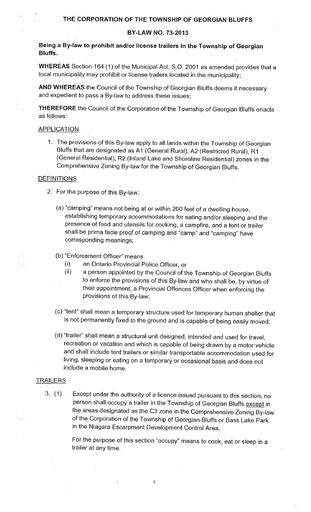#### **BY-LAW NO. 73-2013**

**Being a By-Jaw to prohibit and/or license trailers in the Township of Georgian Bluffs.** 

**WHEREAS** Section 164 (1) of the Municipal Act, S.O. 2001 as amended provides that a local municipality may prohibit or license trailers located in the municipality;

**AND WHEREAS** the Council of the Township of Georgian Bluffs deems it necessary and expedient to pass a By-law to address these issues;

**THEREFORE** the Council of the Corporation of the Township of Georgian Bluffs enacts as follows:

#### **APPLICATION**

1. The provisions of this By-law apply to all lands within the Township of Georgian Bluffs that are designated as A1 (General Rural), A2 (Restricted Rural), R1 (General Residential), R2 (Inland Lake and Shoreline Residential) zones in the Comprehensive Zoning By-law for the Township of Georgian Bluffs.

#### **DEFINITIONS**

- 2. For the purpose of this By-law:
	- (a) "camping" means not being at or within 200 feet of a dwelling house, establishing temporary accommodations for eating and/or sleeping and the presence of food and utensils for cooking, a campfire, and a tent or trailer shall be prima facie proof of camping and "camp" and "camping" have corresponding meanings;
	- (b) "Enforcement Officer" means
		- (i) an Ontario Provincial Police Officer, or
		- (ii) a person appointed by the Council of the Township of Georgian Bluffs to enforce the provisions of this By-law and who shall be, by virtue of their appointment, a Provincial Offences Officer when enforcing the provisions of this By-law;
	- (c) "tent" shall mean a temporary structure used for temporary human shelter that is not permanently fixed to the ground and is capable of being easily moved;
	- (d) "trailer" shall mean a structural unit designed, intended and used for travel, recreation or vacation and which is capable of being drawn by a motor vehicle and shall include tent trailers or similar transportable accommodation used for living, sleeping or eating on a temporary or occasional basis and does not include a mobile home.

#### **TRAILERS**

3. (1) Except under the authority of a licence issued pursuant to this section, no person shall occupy a trailer in the Township of Georgian Bluffs except in the areas designated as the C3 zone in the Comprehensive Zoning By-law of the Corporation of the Township of Georgian Bluffs or Bass Lake Park in the Niagara Escarpment Development Control Area.

1

For the purpose of this section "occupy" means to cook, eat or sleep in <sup>a</sup> trailer at any time.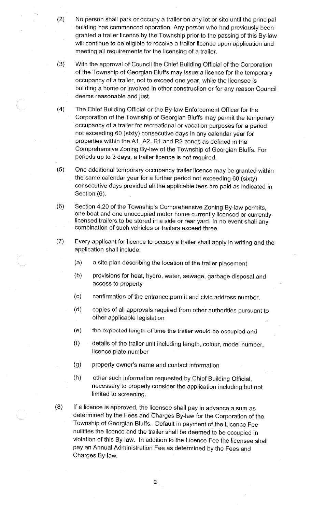- (2) No person shall park or occupy a trailer on any lot or site until the principal building has commenced operation. Any person who had previously been granted a trailer licence by the Township prior to the passing of this By-law will continue to be eligible to receive a trailer licence upon application and meeting all requirements for the licensing of a trailer.
- (3) With the approval of Council the Chief Building Official of the Corporation of the Township of Georgian Bluffs may issue a licence for the temporary occupancy of a trailer, not to exceed one year, while the licensee is building a home or involved in other construction or for any reason Council deems reasonable and just.
- (4) The Chief Building Official or the By-law Enforcement Officer for the Corporation of the Township of Georgian Bluffs may permit the temporary occupancy of a trailer for recreational or vacation purposes for a period not exceeding 60 (sixty) consecutive days in any calendar year for properties within the A1, A2, R1 and R2 zones as defined in the Comprehensive Zoning By-law of the Township of Georgian Bluffs. For periods up to 3 days, a trailer licence is not required.
- (5) One additional temporary occupancy trailer licence may be granted within the same calendar year for a further period not exceeding 60 (sixty) consecutive days provided all the applicable fees are paid as indicated in Section (6).
- (6) Section 4.20 of the Township's Comprehensive Zoning By-law permits, one boat and one unoccupied motor home currently licensed or currently licensed trailers to be stored in a side or rear yard. In no event shall any combination of such vehicles or trailers exceed three.
- (7) Every applicant for licence to occupy a trailer shall apply in writing and the application shall include:
	- (a) a site plan describing the location of the trailer placement
	- (b) provisions for heat, hydro, water, sewage, garbage disposal and access to property
	- (c) confirmation of the entrance permit and civic address number.
	- (d) copies of all approvals required from other authorities pursuant to other applicable legislation
	- (e) the expected length of time the trailer would be occupied and
	- (f) details of the trailer unit including length, colour, model number, licence plate number
	- (g) property owner's name and contact information
	- (h) other such information requested by Chief Building Official, necessary to properly consider the application including but not limited to screening.
- (8) If a licence is approved, the licensee shall pay in advance a sum as determined by the Fees and Charges By-law for the Corporation of the Township of Georgian Bluffs. Default in payment of the Licence Fee nullifies the licence and the trailer shall be deemed to be occupied in violation of this By-law. In addition to the Licence Fee the licensee shall pay an Annual Administration Fee as determined by the Fees and Charges By-law.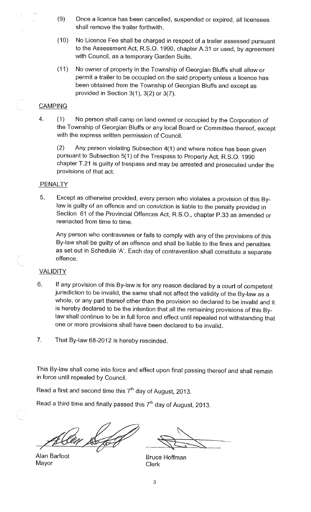- (9) Once a licence has been cancelled, suspended or expired, all licensees shall remove the trailer forthwith.
- (10) No Licence Fee shall be charged in respect of a trailer assessed pursuant to the Assessment Act, R.S.O. 1990, chapter A.31 or used, by agreement with Council, as a temporary Garden Suite.
- ( 11) No owner of property in the Township of Georgian Bluffs shall allow or permit a trailer to be occupied on the said property unless a licence has been obtained from the Township of Georgian Bluffs and except as provided in Section  $3(1)$ ,  $3(2)$  or  $3(7)$ .

### **CAMPING**

4. (1) No person shall camp on land owned or occupied by the Corporation of the Township of Georgian Bluffs or any local Board or Committee thereof, except with the express written permission of Council.

(2) Any person violating Subsection 4(1) and where notice has been given pursuant to Subsection 5(1) of the Trespass to Property Act, R.S.O. 1990 chapter T.21 is guilty of trespass and may be arrested and prosecuted under the provisions of that act.

#### **PENALTY**

5. Except as otherwise provided, every person who violates a provision of this Bylaw is guilty of an offence and on conviction is liable to the penalty provided in Section 61 of the Provincial Offences Act, R.S.O., chapter P.33 as amended or reenacted from time to time.

Any person who contravenes or fails to comply with any of the provisions of this By-law shall be guilty of an offence and shall be liable to the fines and penalties as set out in Schedule 'A'. Each day of contravention shall constitute a separate offence.

### **VALIDITY**

- 6. If any provision of this By-law is for any reason declared by a court of competent jurisdiction to be invalid, the same shall not affect the validity of the By-law as a whole, or any part thereof other than the provision so declared to be invalid and it is hereby declared to be the intention that all the remaining provisions of this Bylaw shall continue to be in full force and effect until repealed not withstanding that one or more provisions shall have been declared to be invalid.
- 7. That By-law 68-2012 is hereby rescinded.

This By-law shall come into force and effect upon final passing thereof and shall remain in force **until** repealed by Council.

Read a first and second time this  $7<sup>th</sup>$  day of August, 2013.

Read a third time and finally passed this  $7<sup>th</sup>$  day of August, 2013.

Alan Barfoot Mayor

... ~~ ~---..~ '

. ~ Bruce Hoffman Clerk

3